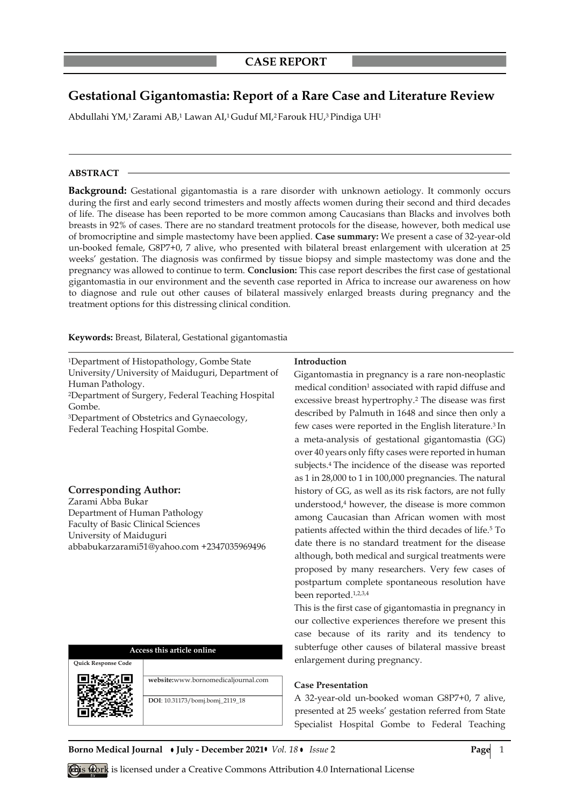# **Gestational Gigantomastia: Report of a Rare Case and Literature Review**

Abdullahi YM,1 Zarami AB,1 Lawan AI,1 Guduf MI,2 Farouk HU,3 Pindiga UH1

#### **ABSTRACT**

**Background:** Gestational gigantomastia is a rare disorder with unknown aetiology. It commonly occurs during the first and early second trimesters and mostly affects women during their second and third decades of life. The disease has been reported to be more common among Caucasians than Blacks and involves both breasts in 92% of cases. There are no standard treatment protocols for the disease, however, both medical use of bromocriptine and simple mastectomy have been applied. **Case summary:** We present a case of 32-year-old un-booked female, G8P7+0, 7 alive, who presented with bilateral breast enlargement with ulceration at 25 weeks' gestation. The diagnosis was confirmed by tissue biopsy and simple mastectomy was done and the pregnancy was allowed to continue to term. **Conclusion:** This case report describes the first case of gestational gigantomastia in our environment and the seventh case reported in Africa to increase our awareness on how to diagnose and rule out other causes of bilateral massively enlarged breasts during pregnancy and the treatment options for this distressing clinical condition.

**Keywords:** Breast, Bilateral, Gestational gigantomastia

<sup>1</sup>Department of Histopathology, Gombe State University/University of Maiduguri, Department of Human Pathology. <sup>2</sup>Department of Surgery, Federal Teaching Hospital Gombe. <sup>3</sup>Department of Obstetrics and Gynaecology, Federal Teaching Hospital Gombe.

#### **Corresponding Author:**

Zarami Abba Bukar Department of Human Pathology Faculty of Basic Clinical Sciences University of Maiduguri abbabukarzarami51@yahoo.com +2347035969496

# **Access this article online**



#### **Introduction**

Gigantomastia in pregnancy is a rare non-neoplastic medical condition<sup>1</sup> associated with rapid diffuse and excessive breast hypertrophy.<sup>2</sup> The disease was first described by Palmuth in 1648 and since then only a few cases were reported in the English literature.<sup>3</sup> In a meta-analysis of gestational gigantomastia (GG) over 40 years only fifty cases were reported in human subjects.<sup>4</sup> The incidence of the disease was reported as 1 in 28,000 to 1 in 100,000 pregnancies. The natural history of GG, as well as its risk factors, are not fully understood,<sup>4</sup> however, the disease is more common among Caucasian than African women with most patients affected within the third decades of life.<sup>5</sup> To date there is no standard treatment for the disease although, both medical and surgical treatments were proposed by many researchers. Very few cases of postpartum complete spontaneous resolution have been reported.1,2,3,4

This is the first case of gigantomastia in pregnancy in our collective experiences therefore we present this case because of its rarity and its tendency to subterfuge other causes of bilateral massive breast enlargement during pregnancy.

### **Case Presentation**

A 32-year-old un-booked woman G8P7+0, 7 alive, presented at 25 weeks' gestation referred from State Specialist Hospital Gombe to Federal Teaching

**Borno Medical Journal • July - December 2021•** *Vol.* 18 • *Issue* 2 **Page** 1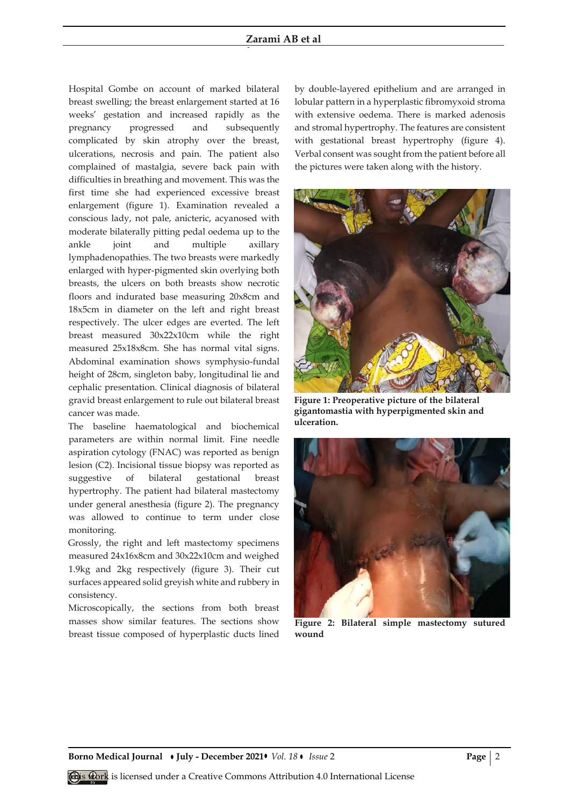#### **Zarami AB et al**

**et al**

Hospital Gombe on account of marked bilateral breast swelling; the breast enlargement started at 16 weeks' gestation and increased rapidly as the pregnancy progressed and subsequently complicated by skin atrophy over the breast, ulcerations, necrosis and pain. The patient also complained of mastalgia, severe back pain with difficulties in breathing and movement. This was the first time she had experienced excessive breast enlargement (figure 1). Examination revealed a conscious lady, not pale, anicteric, acyanosed with moderate bilaterally pitting pedal oedema up to the ankle joint and multiple axillary lymphadenopathies. The two breasts were markedly enlarged with hyper-pigmented skin overlying both breasts, the ulcers on both breasts show necrotic floors and indurated base measuring 20x8cm and 18x5cm in diameter on the left and right breast respectively. The ulcer edges are everted. The left breast measured 30x22x10cm while the right measured 25x18x8cm. She has normal vital signs. Abdominal examination shows symphysio-fundal height of 28cm, singleton baby, longitudinal lie and cephalic presentation. Clinical diagnosis of bilateral gravid breast enlargement to rule out bilateral breast cancer was made.

The baseline haematological and biochemical parameters are within normal limit. Fine needle aspiration cytology (FNAC) was reported as benign lesion (C2). Incisional tissue biopsy was reported as suggestive of bilateral gestational breast hypertrophy. The patient had bilateral mastectomy under general anesthesia (figure 2). The pregnancy was allowed to continue to term under close monitoring.

Grossly, the right and left mastectomy specimens measured 24x16x8cm and 30x22x10cm and weighed 1.9kg and 2kg respectively (figure 3). Their cut surfaces appeared solid greyish white and rubbery in consistency.

Microscopically, the sections from both breast masses show similar features. The sections show breast tissue composed of hyperplastic ducts lined by double-layered epithelium and are arranged in lobular pattern in a hyperplastic fibromyxoid stroma with extensive oedema. There is marked adenosis and stromal hypertrophy. The features are consistent with gestational breast hypertrophy (figure 4). Verbal consent was sought from the patient before all the pictures were taken along with the history.



**Figure 1: Preoperative picture of the bilateral gigantomastia with hyperpigmented skin and ulceration.**



**Figure 2: Bilateral simple mastectomy sutured wound** 

**Borno Medical Journal • July - December 2021 •** *Vol.* 18 • *Issue* 2 **Page | 2 Page | 2**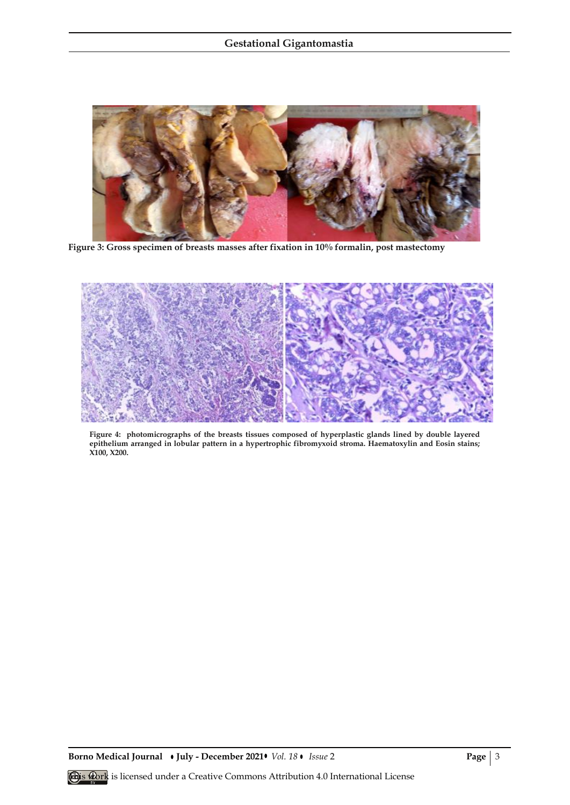

**Figure 3: Gross specimen of breasts masses after fixation in 10% formalin, post mastectomy**



**Figure 4: photomicrographs of the breasts tissues composed of hyperplastic glands lined by double layered epithelium arranged in lobular pattern in a hypertrophic fibromyxoid stroma. Haematoxylin and Eosin stains; X100, X200.**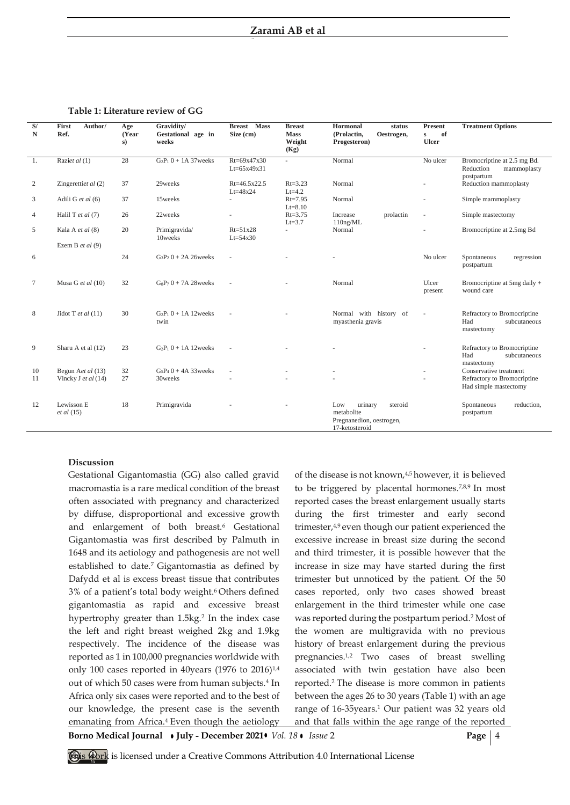**et al**

**Table 1: Literature review of GG**

| S/<br>$\mathbf N$ | First<br>Author/<br>Ref.               | Age<br>(Year<br>s) | Gravidity/<br>Gestational age in<br>weeks | <b>Breast</b> Mass<br>Size (cm)    | <b>Breast</b><br><b>Mass</b><br>Weight<br>(Kg) | Hormonal<br>status<br>(Prolactin,<br>Oestrogen,<br>Progesteron)                       | <b>Present</b><br>of<br>$\mathbf{s}$<br><b>Ulcer</b> | <b>Treatment Options</b>                                              |
|-------------------|----------------------------------------|--------------------|-------------------------------------------|------------------------------------|------------------------------------------------|---------------------------------------------------------------------------------------|------------------------------------------------------|-----------------------------------------------------------------------|
| -1.               | Raziet al (1)                          | 28                 | $G_2P_1 0 + 1A 37$ weeks                  | $Rt = 69x47x30$<br>$Lt = 65x49x31$ | ÷                                              | Normal                                                                                | No ulcer                                             | Bromocriptine at 2.5 mg Bd.<br>Reduction<br>mammoplasty<br>postpartum |
| 2                 | Zingerettiet al (2)                    | 37                 | 29weeks                                   | Rt=46.5x22.5<br>$Lt = 48x24$       | $Rt = 3.23$<br>$Lt=4.2$                        | Normal                                                                                |                                                      | Reduction mammoplasty                                                 |
| 3                 | Adili G et al (6)                      | 37                 | 15weeks                                   | ÷.                                 | $Rt = 7.95$<br>$Lt = 8.10$                     | Normal                                                                                |                                                      | Simple mammoplasty                                                    |
| 4                 | Halil T et al $(7)$                    | 26                 | 22weeks                                   |                                    | $Rt = 3.75$<br>$Lt=3.7$                        | Increase<br>prolactin<br>$110$ ng/ML                                                  | ÷,                                                   | Simple mastectomy                                                     |
| 5                 | Kala A et al (8)<br>Ezem B et al $(9)$ | 20                 | Primigravida/<br>10weeks                  | $Rt=51x28$<br>$Lt = 54x30$         |                                                | Normal                                                                                |                                                      | Bromocriptine at 2.5mg Bd                                             |
| 6                 |                                        | 24                 | $G_3P_2 0 + 2A 26$ weeks                  |                                    |                                                |                                                                                       | No ulcer                                             | Spontaneous<br>regression<br>postpartum                               |
| 7                 | Musa G et al $(10)$                    | 32                 | $GsP_70 + 7A28$ weeks                     |                                    |                                                | Normal                                                                                | Ulcer<br>present                                     | Bromocriptine at $5mg$ daily +<br>wound care                          |
| 8                 | Jidot T et al $(11)$                   | 30                 | $G_2P_10 + 1A12$ weeks<br>twin            |                                    |                                                | Normal with history of<br>myasthenia gravis                                           |                                                      | Refractory to Bromocriptine<br>Had<br>subcutaneous<br>mastectomy      |
| 9                 | Sharu A et al (12)                     | 23                 | $G_2P_1 0 + 1A 12$ weeks                  |                                    |                                                |                                                                                       |                                                      | Refractory to Bromocriptine<br>Had<br>subcutaneous<br>mastectomy      |
| 10                | Begun Aet al (13)                      | 32                 | $G5P40 + 4A33$ weeks                      | ×.                                 |                                                |                                                                                       |                                                      | Conservative treatment                                                |
| 11                | Vincky J et al (14)                    | 27                 | 30weeks                                   |                                    |                                                |                                                                                       |                                                      | Refractory to Bromocriptine<br>Had simple mastectomy                  |
| 12                | Lewisson E<br>et al (15)               | 18                 | Primigravida                              |                                    |                                                | Low<br>urinary<br>steroid<br>metabolite<br>Pregnanedion, oestrogen,<br>17-ketosteroid |                                                      | reduction,<br>Spontaneous<br>postpartum                               |

#### **Discussion**

Gestational Gigantomastia (GG) also called gravid macromastia is a rare medical condition of the breast often associated with pregnancy and characterized by diffuse, disproportional and excessive growth and enlargement of both breast.<sup>6</sup> Gestational Gigantomastia was first described by Palmuth in 1648 and its aetiology and pathogenesis are not well established to date.<sup>7</sup> Gigantomastia as defined by Dafydd et al is excess breast tissue that contributes 3% of a patient's total body weight. <sup>6</sup> Others defined gigantomastia as rapid and excessive breast hypertrophy greater than 1.5kg.<sup>2</sup> In the index case the left and right breast weighed 2kg and 1.9kg respectively. The incidence of the disease was reported as 1 in 100,000 pregnancies worldwide with only 100 cases reported in 40 years (1976 to 2016)<sup>1,4</sup> out of which 50 cases were from human subjects.<sup>4</sup> In Africa only six cases were reported and to the best of our knowledge, the present case is the seventh emanating from Africa.<sup>4</sup> Even though the aetiology

of the disease is not known,4,5 however, it is believed to be triggered by placental hormones.7,8,9 In most reported cases the breast enlargement usually starts during the first trimester and early second trimester,4,9 even though our patient experienced the excessive increase in breast size during the second and third trimester, it is possible however that the increase in size may have started during the first trimester but unnoticed by the patient. Of the 50 cases reported, only two cases showed breast enlargement in the third trimester while one case was reported during the postpartum period.<sup>2</sup> Most of the women are multigravida with no previous history of breast enlargement during the previous pregnancies.1,2 Two cases of breast swelling associated with twin gestation have also been reported.<sup>2</sup> The disease is more common in patients between the ages 26 to 30 years (Table 1) with an age range of 16-35years.<sup>1</sup> Our patient was 32 years old and that falls within the age range of the reported

**Borno Medical Journal • July - December 2021 • Vol. 18 • Issue 2 Page | 4** 

**This work** is licensed under a Creative Commons Attribution 4.0 International License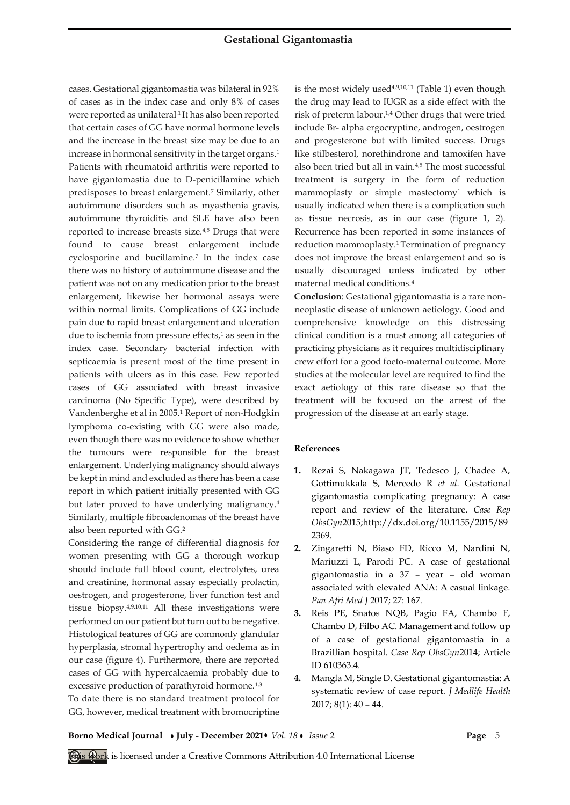cases. Gestational gigantomastia was bilateral in 92% of cases as in the index case and only 8% of cases were reported as unilateral<sup>1</sup> It has also been reported that certain cases of GG have normal hormone levels and the increase in the breast size may be due to an increase in hormonal sensitivity in the target organs.<sup>1</sup> Patients with rheumatoid arthritis were reported to have gigantomastia due to D-penicillamine which predisposes to breast enlargement.<sup>7</sup> Similarly, other autoimmune disorders such as myasthenia gravis, autoimmune thyroiditis and SLE have also been reported to increase breasts size.4,5 Drugs that were found to cause breast enlargement include cyclosporine and bucillamine.<sup>7</sup> In the index case there was no history of autoimmune disease and the patient was not on any medication prior to the breast enlargement, likewise her hormonal assays were within normal limits. Complications of GG include pain due to rapid breast enlargement and ulceration due to ischemia from pressure effects,<sup>1</sup> as seen in the index case. Secondary bacterial infection with septicaemia is present most of the time present in patients with ulcers as in this case. Few reported cases of GG associated with breast invasive carcinoma (No Specific Type), were described by Vandenberghe et al in 2005.<sup>1</sup> Report of non-Hodgkin lymphoma co-existing with GG were also made, even though there was no evidence to show whether the tumours were responsible for the breast enlargement. Underlying malignancy should always be kept in mind and excluded as there has been a case report in which patient initially presented with GG but later proved to have underlying malignancy.<sup>4</sup> Similarly, multiple fibroadenomas of the breast have also been reported with GG.<sup>2</sup>

Considering the range of differential diagnosis for women presenting with GG a thorough workup should include full blood count, electrolytes, urea and creatinine, hormonal assay especially prolactin, oestrogen, and progesterone, liver function test and tissue biopsy.4,9,10,11 All these investigations were performed on our patient but turn out to be negative. Histological features of GG are commonly glandular hyperplasia, stromal hypertrophy and oedema as in our case (figure 4). Furthermore, there are reported cases of GG with hypercalcaemia probably due to excessive production of parathyroid hormone.<sup>1,3</sup> To date there is no standard treatment protocol for GG, however, medical treatment with bromocriptine is the most widely used $4,9,10,11$  (Table 1) even though the drug may lead to IUGR as a side effect with the risk of preterm labour.1,4 Other drugs that were tried include Br- alpha ergocryptine, androgen, oestrogen and progesterone but with limited success. Drugs like stilbesterol, norethindrone and tamoxifen have also been tried but all in vain.4,5 The most successful treatment is surgery in the form of reduction mammoplasty or simple mastectomy<sup>1</sup> which is usually indicated when there is a complication such as tissue necrosis, as in our case (figure 1, 2). Recurrence has been reported in some instances of reduction mammoplasty.<sup>1</sup> Termination of pregnancy does not improve the breast enlargement and so is usually discouraged unless indicated by other maternal medical conditions.<sup>4</sup>

**Conclusion**: Gestational gigantomastia is a rare nonneoplastic disease of unknown aetiology. Good and comprehensive knowledge on this distressing clinical condition is a must among all categories of practicing physicians as it requires multidisciplinary crew effort for a good foeto-maternal outcome. More studies at the molecular level are required to find the exact aetiology of this rare disease so that the treatment will be focused on the arrest of the progression of the disease at an early stage.

## **References**

- **1.** Rezai S, Nakagawa JT, Tedesco J, Chadee A, Gottimukkala S, Mercedo R *et al*. Gestational gigantomastia complicating pregnancy: A case report and review of the literature. *Case Rep ObsGyn*2015;http://dx.doi.org/10.1155/2015/89 2369.
- **2.** Zingaretti N, Biaso FD, Ricco M, Nardini N, Mariuzzi L, Parodi PC. A case of gestational gigantomastia in a 37 – year – old woman associated with elevated ANA: A casual linkage. *Pan Afri Med J* 2017; 27: 167.
- **3.** Reis PE, Snatos NQB, Pagio FA, Chambo F, Chambo D, Filbo AC. Management and follow up of a case of gestational gigantomastia in a Brazillian hospital. *Case Rep ObsGyn*2014; Article ID 610363.4.
- **4.** Mangla M, Single D. Gestational gigantomastia: A systematic review of case report. *J Medlife Health* 2017; 8(1): 40 – 44.

**Borno Medical Journal • July - December 2021 •** *Vol. 18* **•** *Issue* **2 <b>Page** | 5